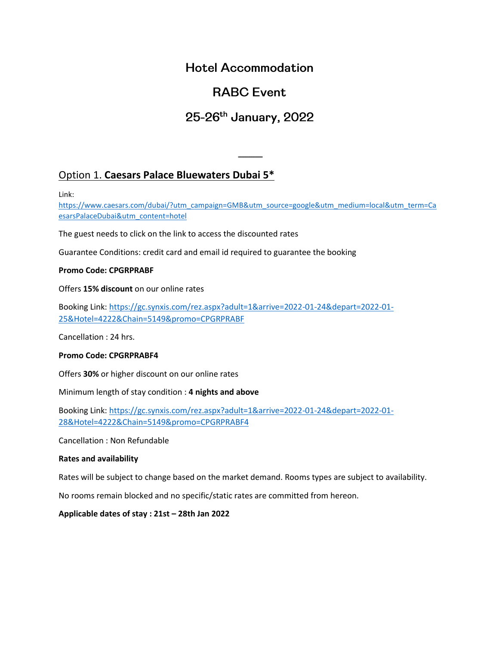### **Hotel Accommodation**

# **RABC Event.**

# 25-26th January, 2022

ـــــــــــــ

### Option 1. **Caesars Palace Bluewaters Dubai 5\***

Link:

[https://www.caesars.com/dubai/?utm\\_campaign=GMB&utm\\_source=google&utm\\_medium=local&utm\\_term=Ca](https://www.caesars.com/dubai/?utm_campaign=GMB&utm_source=google&utm_medium=local&utm_term=CaesarsPalaceDubai&utm_content=hotel) [esarsPalaceDubai&utm\\_content=hotel](https://www.caesars.com/dubai/?utm_campaign=GMB&utm_source=google&utm_medium=local&utm_term=CaesarsPalaceDubai&utm_content=hotel)

The guest needs to click on the link to access the discounted rates

Guarantee Conditions: credit card and email id required to guarantee the booking

#### **Promo Code: CPGRPRABF**

Offers **15% discount** on our online rates

Booking Link: [https://gc.synxis.com/rez.aspx?adult=1&arrive=2022-01-24&depart=2022-01-](https://gc.synxis.com/rez.aspx?adult=1&arrive=2022-01-24&depart=2022-01-25&Hotel=4222&Chain=5149&promo=CPGRPRABF) [25&Hotel=4222&Chain=5149&promo=CPGRPRABF](https://gc.synxis.com/rez.aspx?adult=1&arrive=2022-01-24&depart=2022-01-25&Hotel=4222&Chain=5149&promo=CPGRPRABF)

Cancellation : 24 hrs.

#### **Promo Code: CPGRPRABF4**

Offers **30%** or higher discount on our online rates

Minimum length of stay condition : **4 nights and above**

Booking Link: [https://gc.synxis.com/rez.aspx?adult=1&arrive=2022-01-24&depart=2022-01-](https://gc.synxis.com/rez.aspx?adult=1&arrive=2022-01-24&depart=2022-01-28&Hotel=4222&Chain=5149&promo=CPGRPRABF4) [28&Hotel=4222&Chain=5149&promo=CPGRPRABF4](https://gc.synxis.com/rez.aspx?adult=1&arrive=2022-01-24&depart=2022-01-28&Hotel=4222&Chain=5149&promo=CPGRPRABF4)

Cancellation : Non Refundable

#### **Rates and availability**

Rates will be subject to change based on the market demand. Rooms types are subject to availability.

No rooms remain blocked and no specific/static rates are committed from hereon.

**Applicable dates of stay : 21st – 28th Jan 2022**